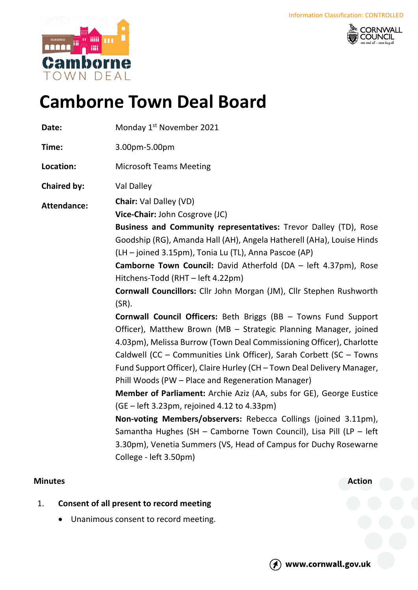



# **Camborne Town Deal Board**

Date: Monday 1<sup>st</sup> November 2021

**Time:** 3.00pm-5.00pm

**Location:** Microsoft Teams Meeting

**Chaired by:** Val Dalley

**Attendance: Chair:** Val Dalley (VD)

**Vice-Chair:** John Cosgrove (JC)

**Business and Community representatives:** Trevor Dalley (TD), Rose Goodship (RG), Amanda Hall (AH), Angela Hatherell (AHa), Louise Hinds (LH – joined 3.15pm), Tonia Lu (TL), Anna Pascoe (AP)

**Camborne Town Council:** David Atherfold (DA – left 4.37pm), Rose Hitchens-Todd (RHT – left 4.22pm)

**Cornwall Councillors:** Cllr John Morgan (JM), Cllr Stephen Rushworth (SR).

**Cornwall Council Officers:** Beth Briggs (BB – Towns Fund Support Officer), Matthew Brown (MB – Strategic Planning Manager, joined 4.03pm), Melissa Burrow (Town Deal Commissioning Officer), Charlotte Caldwell (CC – Communities Link Officer), Sarah Corbett (SC – Towns Fund Support Officer), Claire Hurley (CH – Town Deal Delivery Manager, Phill Woods (PW – Place and Regeneration Manager)

**Member of Parliament:** Archie Aziz (AA, subs for GE), George Eustice (GE – left 3.23pm, rejoined 4.12 to 4.33pm)

**Non-voting Members/observers:** Rebecca Collings (joined 3.11pm), Samantha Hughes (SH – Camborne Town Council), Lisa Pill (LP – left 3.30pm), Venetia Summers (VS, Head of Campus for Duchy Rosewarne College - left 3.50pm)

# **Minutes Action**

#### 1. **Consent of all present to record meeting**

Unanimous consent to record meeting.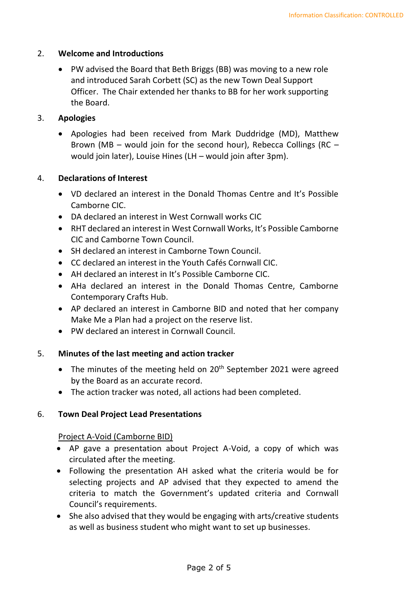# 2. **Welcome and Introductions**

• PW advised the Board that Beth Briggs (BB) was moving to a new role and introduced Sarah Corbett (SC) as the new Town Deal Support Officer. The Chair extended her thanks to BB for her work supporting the Board.

### 3. **Apologies**

• Apologies had been received from Mark Duddridge (MD), Matthew Brown (MB – would join for the second hour), Rebecca Collings (RC – would join later), Louise Hines (LH – would join after 3pm).

# 4. **Declarations of Interest**

- VD declared an interest in the Donald Thomas Centre and It's Possible Camborne CIC.
- DA declared an interest in West Cornwall works CIC
- RHT declared an interest in West Cornwall Works, It's Possible Camborne CIC and Camborne Town Council.
- SH declared an interest in Camborne Town Council.
- CC declared an interest in the Youth Cafés Cornwall CIC.
- AH declared an interest in It's Possible Camborne CIC.
- AHa declared an interest in the Donald Thomas Centre, Camborne Contemporary Crafts Hub.
- AP declared an interest in Camborne BID and noted that her company Make Me a Plan had a project on the reserve list.
- PW declared an interest in Cornwall Council.

#### 5. **Minutes of the last meeting and action tracker**

- The minutes of the meeting held on  $20<sup>th</sup>$  September 2021 were agreed by the Board as an accurate record.
- The action tracker was noted, all actions had been completed.

# 6. **Town Deal Project Lead Presentations**

#### Project A-Void (Camborne BID)

- AP gave a presentation about Project A-Void, a copy of which was circulated after the meeting.
- Following the presentation AH asked what the criteria would be for selecting projects and AP advised that they expected to amend the criteria to match the Government's updated criteria and Cornwall Council's requirements.
- She also advised that they would be engaging with arts/creative students as well as business student who might want to set up businesses.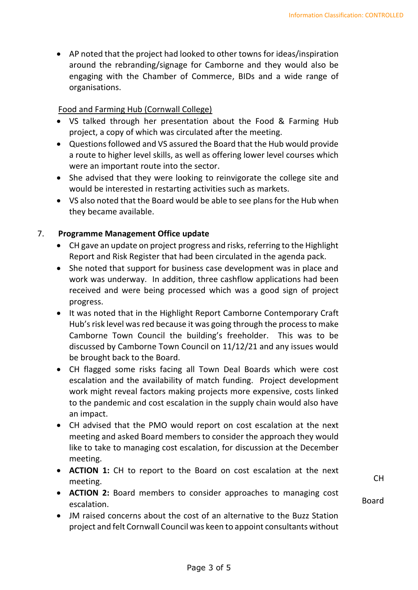• AP noted that the project had looked to other towns for ideas/inspiration around the rebranding/signage for Camborne and they would also be engaging with the Chamber of Commerce, BIDs and a wide range of organisations.

Food and Farming Hub (Cornwall College)

- VS talked through her presentation about the Food & Farming Hub project, a copy of which was circulated after the meeting.
- Questions followed and VS assured the Board that the Hub would provide a route to higher level skills, as well as offering lower level courses which were an important route into the sector.
- She advised that they were looking to reinvigorate the college site and would be interested in restarting activities such as markets.
- VS also noted that the Board would be able to see plans for the Hub when they became available.

# 7. **Programme Management Office update**

- CH gave an update on project progress and risks, referring to the Highlight Report and Risk Register that had been circulated in the agenda pack.
- She noted that support for business case development was in place and work was underway. In addition, three cashflow applications had been received and were being processed which was a good sign of project progress.
- It was noted that in the Highlight Report Camborne Contemporary Craft Hub's risk level was red because it was going through the process to make Camborne Town Council the building's freeholder. This was to be discussed by Camborne Town Council on 11/12/21 and any issues would be brought back to the Board.
- CH flagged some risks facing all Town Deal Boards which were cost escalation and the availability of match funding. Project development work might reveal factors making projects more expensive, costs linked to the pandemic and cost escalation in the supply chain would also have an impact.
- CH advised that the PMO would report on cost escalation at the next meeting and asked Board members to consider the approach they would like to take to managing cost escalation, for discussion at the December meeting.
- **ACTION 1:** CH to report to the Board on cost escalation at the next meeting.
- **ACTION 2:** Board members to consider approaches to managing cost escalation.
- JM raised concerns about the cost of an alternative to the Buzz Station project and felt Cornwall Council was keen to appoint consultants without

CH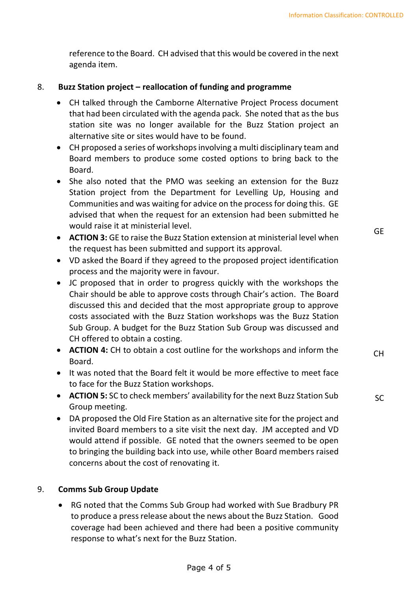reference to the Board. CH advised that this would be covered in the next agenda item.

# 8. **Buzz Station project – reallocation of funding and programme**

- CH talked through the Camborne Alternative Project Process document that had been circulated with the agenda pack. She noted that as the bus station site was no longer available for the Buzz Station project an alternative site or sites would have to be found.
- CH proposed a series of workshops involving a multi disciplinary team and Board members to produce some costed options to bring back to the Board.
- She also noted that the PMO was seeking an extension for the Buzz Station project from the Department for Levelling Up, Housing and Communities and was waiting for advice on the processfor doing this. GE advised that when the request for an extension had been submitted he would raise it at ministerial level.
- **ACTION 3:** GE to raise the Buzz Station extension at ministerial level when the request has been submitted and support its approval.
- VD asked the Board if they agreed to the proposed project identification process and the majority were in favour.
- JC proposed that in order to progress quickly with the workshops the Chair should be able to approve costs through Chair's action. The Board discussed this and decided that the most appropriate group to approve costs associated with the Buzz Station workshops was the Buzz Station Sub Group. A budget for the Buzz Station Sub Group was discussed and CH offered to obtain a costing.
- **ACTION 4:** CH to obtain a cost outline for the workshops and inform the Board.
- It was noted that the Board felt it would be more effective to meet face to face for the Buzz Station workshops.
- **ACTION 5:** SC to check members' availability for the next Buzz Station Sub Group meeting.
- DA proposed the Old Fire Station as an alternative site for the project and invited Board members to a site visit the next day. JM accepted and VD would attend if possible. GE noted that the owners seemed to be open to bringing the building back into use, while other Board members raised concerns about the cost of renovating it.

#### 9. **Comms Sub Group Update**

• RG noted that the Comms Sub Group had worked with Sue Bradbury PR to produce a press release about the news about the Buzz Station. Good coverage had been achieved and there had been a positive community response to what's next for the Buzz Station.

GE

CH

SC